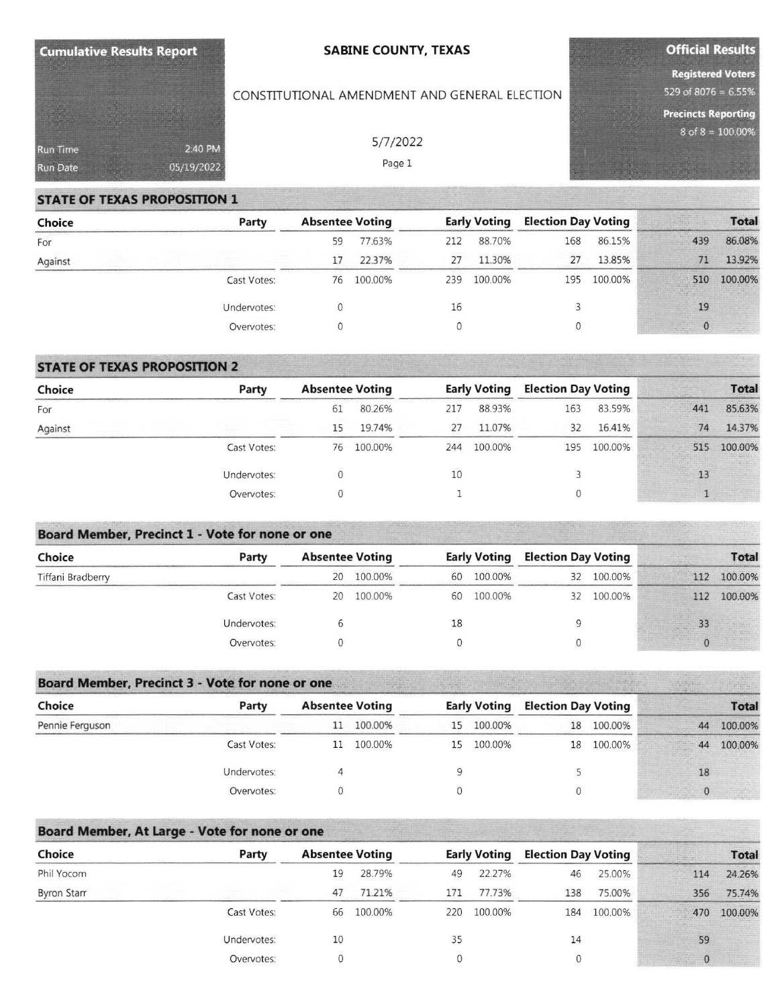| Cumulative Results Report |            | <b>SABINE COUNTY, TEXAS</b>                   | <b>Official Results</b> |                            |  |  |
|---------------------------|------------|-----------------------------------------------|-------------------------|----------------------------|--|--|
|                           |            |                                               |                         | <b>Registered Voters</b>   |  |  |
|                           |            | CONSTITUTIONAL AMENDMENT AND GENERAL ELECTION |                         | 529 of 8076 = $6.55\%$     |  |  |
|                           |            |                                               |                         | <b>Precincts Reporting</b> |  |  |
| Run Time                  | 2:40 PM    | 5/7/2022                                      |                         | $8$ of $8 = 100.00\%$      |  |  |
| <b>Run Date</b>           | 05/19/2022 | Page 1                                        |                         |                            |  |  |

## **STATE OF TEXAS PROPOSITION 1**

| Choice  | Party       | <b>Absentee Voting</b> |         | <b>Early Voting</b> |         | <b>Election Day Voting</b> |         | <b>Total</b> |         |
|---------|-------------|------------------------|---------|---------------------|---------|----------------------------|---------|--------------|---------|
| For     |             | 59                     | 77.63%  | 212                 | 88.70%  | 168                        | 86.15%  | 439          | 86.08%  |
| Against |             | 17                     | 22.37%  | 27                  | 11.30%  | 27                         | 13.85%  | 71           | 13.92%  |
|         | Cast Votes: | 76                     | 100.00% | 239                 | 100.00% | 195                        | 100.00% | 510          | 100.00% |
|         | Undervotes: |                        |         | 16                  |         |                            |         | 19           |         |
|         | Overvotes:  |                        |         |                     |         | 0                          |         |              |         |

## **STATE OF TEXAS PROPOSITION 2**

| Choice  | Party       | <b>Absentee Voting</b> |         | <b>Early Voting</b> |         | <b>Election Day Voting</b> |         | <b>Total</b> |         |
|---------|-------------|------------------------|---------|---------------------|---------|----------------------------|---------|--------------|---------|
| For     |             | 61                     | 80.26%  | 217                 | 88.93%  | 163                        | 83.59%  | 441          | 85.63%  |
| Against |             | 15                     | 19.74%  | 27                  | 11.07%  | 32                         | 16.41%  | 74           | 14.37%  |
|         | Cast Votes: | 76                     | 100.00% | 244                 | 100.00% | 195                        | 100.00% | 515          | 100.00% |
|         | Undervotes: |                        |         | 10                  |         |                            |         |              |         |
|         | Overvotes:  |                        |         |                     |         |                            |         |              |         |

## **Board Member, Precinct 1 - Vote for none or one**

| Choice            | Party       | <b>Absentee Voting</b> |         | <b>Early Voting</b> |         | <b>Election Day Voting</b> |            | <b>Total</b> |         |
|-------------------|-------------|------------------------|---------|---------------------|---------|----------------------------|------------|--------------|---------|
| Tiffani Bradberry |             | 20                     | 100.00% | 60                  | 100.00% | 32                         | 100.00%    | 112          | 100.00% |
|                   | Cast Votes: | 20                     | 100.00% | 60                  | 100.00% |                            | 32 100.00% | 112          | 100.00% |
|                   | Undervotes: |                        |         | 18                  |         | u                          |            |              |         |
|                   | Overvotes:  |                        |         |                     |         | U                          |            |              |         |

# **Board Member, Precinct 3 - Vote for none or one**

| Choice          | Party       | <b>Absentee Voting</b> |            |    |            | <b>Early Voting Election Day Voting</b> |            | <b>Total</b> |         |
|-----------------|-------------|------------------------|------------|----|------------|-----------------------------------------|------------|--------------|---------|
| Pennie Ferguson |             |                        | 11 100.00% |    | 15 100.00% |                                         | 18 100.00% | 44           | 100.00% |
|                 | Cast Votes: | 11                     | 100.00%    | 15 | 100.00%    | 18                                      | 100.00%    | 44           | 100.00% |
|                 | Undervotes: |                        |            |    |            |                                         |            | 18           |         |
|                 | Overvotes:  |                        |            |    |            |                                         |            |              |         |

## Board Member, At Large - Vote for none or one

| Choice             | Party       | <b>Absentee Voting</b> |         | <b>Early Voting</b> |         | <b>Election Day Voting</b> |         | <b>Total</b> |         |
|--------------------|-------------|------------------------|---------|---------------------|---------|----------------------------|---------|--------------|---------|
| Phil Yocom         |             | 19                     | 28.79%  | 49                  | 22.27%  | 46                         | 25.00%  | 114          | 24.26%  |
| <b>Byron Starr</b> |             | 47                     | 71.21%  | 171                 | 77.73%  | 138                        | 75.00%  | 356          | 75.74%  |
|                    | Cast Votes: | 66                     | 100.00% | 220                 | 100.00% | 184                        | 100.00% | 470          | 100.00% |
|                    | Undervotes: | 10                     |         | 35                  |         | 14                         |         | 59           |         |
|                    | Overvotes:  |                        |         |                     |         |                            |         |              |         |